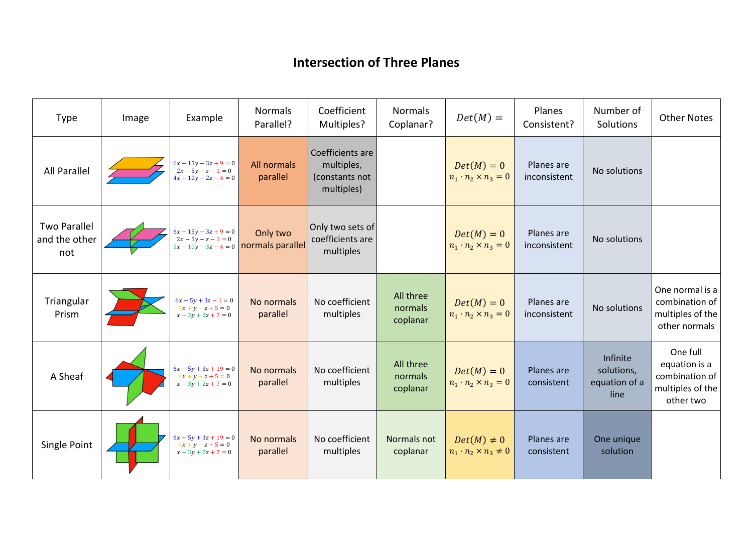## **Intersection of Three Planes**

| <b>Type</b>                                 | Image | Example                                                                     | <b>Normals</b><br>Parallel?                          | Coefficient<br>Multiples?                                      | <b>Normals</b><br>Coplanar?      | $Det(M) =$                                           | Planes<br>Consistent?      | Number of<br>Solutions                          | <b>Other Notes</b>                                                           |
|---------------------------------------------|-------|-----------------------------------------------------------------------------|------------------------------------------------------|----------------------------------------------------------------|----------------------------------|------------------------------------------------------|----------------------------|-------------------------------------------------|------------------------------------------------------------------------------|
| <b>All Parallel</b>                         |       | $6x - 15y - 3z + 9 = 0$<br>$2x - 5y - z - 1 = 0$<br>$4x - 10y - 2z - 4 = 0$ | All normals<br>parallel                              | Coefficients are<br>multiples,<br>(constants not<br>multiples) |                                  | $Det(M) = 0$<br>$n_1 \cdot n_2 \times n_3 = 0$       | Planes are<br>inconsistent | No solutions                                    |                                                                              |
| <b>Two Parallel</b><br>and the other<br>not |       | $6x - 15y - 3z + 9 = 0$<br>$2x - 5y - z - 1 = 0$                            | Only two<br>$5x - 10y - 3z - 4 = 0$ normals parallel | Only two sets of<br>coefficients are<br>multiples              |                                  | $Det(M) = 0$<br>$n_1 \cdot n_2 \times n_3 = 0$       | Planes are<br>inconsistent | No solutions                                    |                                                                              |
| Triangular<br>Prism                         |       | $6x - 5y + 3z - 1 = 0$<br>$4x + y - z + 5 = 0$<br>$x - 3y + 2z + 7 = 0$     | No normals<br>parallel                               | No coefficient<br>multiples                                    | All three<br>normals<br>coplanar | $Det(M) = 0$<br>$n_1 \cdot n_2 \times n_3 = 0$       | Planes are<br>inconsistent | No solutions                                    | One normal is a<br>combination of<br>multiples of the<br>other normals       |
| A Sheaf                                     |       | $6x - 5y + 3z + 19 = 0$<br>$4x + y - z + 5 = 0$<br>$x - 3y + 2z + 7 = 0$    | No normals<br>parallel                               | No coefficient<br>multiples                                    | All three<br>normals<br>coplanar | $Det(M) = 0$<br>$n_1 \cdot n_2 \times n_3 = 0$       | Planes are<br>consistent   | Infinite<br>solutions,<br>equation of a<br>line | One full<br>equation is a<br>combination of<br>multiples of the<br>other two |
| Single Point                                |       | $6x - 5y + 3z + 19 = 0$<br>$4x + y - z + 5 = 0$<br>$x - 3y + 2z + 7 = 0$    | No normals<br>parallel                               | No coefficient<br>multiples                                    | Normals not<br>coplanar          | $Det(M) \neq 0$<br>$n_1 \cdot n_2 \times n_3 \neq 0$ | Planes are<br>consistent   | One unique<br>solution                          |                                                                              |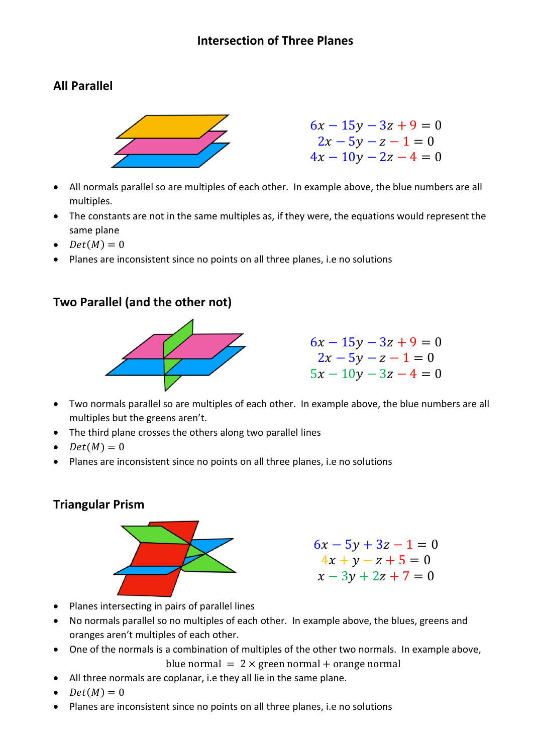# **All Parallel**



- All normals parallel so are multiples of each other. In example above, the blue numbers are all multiples.
- The constants are not in the same multiples as, if they were, the equations would represent the same plane
- $Det(M) = 0$
- Planes are inconsistent since no points on all three planes, i.e no solutions

#### **Two Parallel (and the other not)**



 $6x - 15y - 3z + 9 = 0$  $2x - 5y - z - 1 = 0$  $5x - 10y - 3z - 4 = 0$ 

- Two normals parallel so are multiples of each other. In example above, the blue numbers are all multiples but the greens aren't.
- The third plane crosses the others along two parallel lines
- $Det(M) = 0$
- Planes are inconsistent since no points on all three planes, i.e no solutions

### **Triangular Prism**



```
6x - 5y + 3z - 1 = 04x + y - z + 5 = 0x - 3y + 2z + 7 = 0
```
- Planes intersecting in pairs of parallel lines
- No normals parallel so no multiples of each other. In example above, the blues, greens and oranges aren't multiples of each other.
- One of the normals is a combination of multiples of the other two normals. In example above, blue normal  $= 2 \times$  green normal + orange normal
- All three normals are coplanar, i.e they all lie in the same plane.
- $Det(M) = 0$
- Planes are inconsistent since no points on all three planes, i.e no solutions